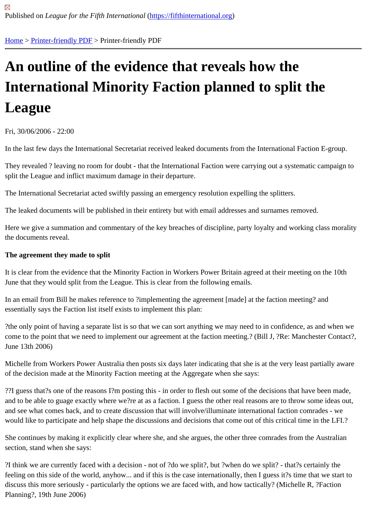# [An](https://fifthinternational.org/) [outline of t](https://fifthinternational.org/printpdf)he evidence that reveals how the International Minority Faction planned to split the League

Fri, 30/06/2006 - 22:00

In the last few days the International Secretariat received leaked documents from the International Faction E-group

They revealed ? leaving no room for doubt - that the International Faction were carrying out a systematic campaig split the League and inflict maximum damage in their departure.

The International Secretariat acted swiftly passing an emergency resolution expelling the splitters.

The leaked documents will be published in their entirety but with email addresses and surnames removed.

Here we give a summation and commentary of the key breaches of discipline, party loyalty and working class mora the documents reveal.

The agreement they made to split

It is clear from the evidence that the Minority Faction in Workers Power Britain agreed at their meeting on the 10th June that they would split from the League. This is clear from the following emails.

In an email from Bill he makes reference to ?implementing the agreement [made] at the faction meeting? and essentially says the Faction list itself exists to implement this plan:

?the only point of having a separate list is so that we can sort anything we may need to in confidence, as and whe come to the point that we need to implement our agreement at the faction meeting.? (Bill J, ?Re: Manchester Cont June 13th 2006)

Michelle from Workers Power Australia then posts six days later indicating that she is at the very least partially aware of the decision made at the Minority Faction meeting at the Aggregate when she says:

??I guess that?s one of the reasons I?m posting this - in order to flesh out some of the decisions that have been m and to be able to guage exactly where we?re at as a faction. I guess the other real reasons are to throw some idea and see what comes back, and to create discussion that will involve/illuminate international faction comrades - we would like to participate and help shape the discussions and decisions that come out of this critical time in the LFI.

She continues by making it explicitly clear where she, and she argues, the other three comrades from the Australia section, stand when she says:

?I think we are currently faced with a decision - not of ?do we split?, but ?when do we split? - that?s certainly the feeling on this side of the world, anyhow... and if this is the case internationally, then I guess it?s time that we start discuss this more seriously - particularly the options we are faced with, and how tactically? (Michelle R, ?Faction Planning?, 19th June 2006)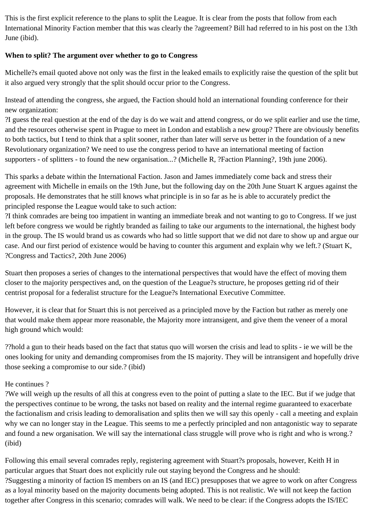This is the first explicit reference to the plans to split the League. It is clear from the posts that follow from each International Minority Faction member that this was clearly the ?agreement? Bill had referred to in his post on the 13th June (ibid).

### **When to split? The argument over whether to go to Congress**

Michelle?s email quoted above not only was the first in the leaked emails to explicitly raise the question of the split but it also argued very strongly that the split should occur prior to the Congress.

Instead of attending the congress, she argued, the Faction should hold an international founding conference for their new organization:

?I guess the real question at the end of the day is do we wait and attend congress, or do we split earlier and use the time, and the resources otherwise spent in Prague to meet in London and establish a new group? There are obviously benefits to both tactics, but I tend to think that a split sooner, rather than later will serve us better in the foundation of a new Revolutionary organization? We need to use the congress period to have an international meeting of faction supporters - of splitters - to found the new organisation...? (Michelle R, ?Faction Planning?, 19th june 2006).

This sparks a debate within the International Faction. Jason and James immediately come back and stress their agreement with Michelle in emails on the 19th June, but the following day on the 20th June Stuart K argues against the proposals. He demonstrates that he still knows what principle is in so far as he is able to accurately predict the principled response the League would take to such action:

?I think comrades are being too impatient in wanting an immediate break and not wanting to go to Congress. If we just left before congress we would be rightly branded as failing to take our arguments to the international, the highest body in the group. The IS would brand us as cowards who had so little support that we did not dare to show up and argue our case. And our first period of existence would be having to counter this argument and explain why we left.? (Stuart K, ?Congress and Tactics?, 20th June 2006)

Stuart then proposes a series of changes to the international perspectives that would have the effect of moving them closer to the majority perspectives and, on the question of the League?s structure, he proposes getting rid of their centrist proposal for a federalist structure for the League?s International Executive Committee.

However, it is clear that for Stuart this is not perceived as a principled move by the Faction but rather as merely one that would make them appear more reasonable, the Majority more intransigent, and give them the veneer of a moral high ground which would:

??hold a gun to their heads based on the fact that status quo will worsen the crisis and lead to splits - ie we will be the ones looking for unity and demanding compromises from the IS majority. They will be intransigent and hopefully drive those seeking a compromise to our side.? (ibid)

#### He continues ?

?We will weigh up the results of all this at congress even to the point of putting a slate to the IEC. But if we judge that the perspectives continue to be wrong, the tasks not based on reality and the internal regime guaranteed to exacerbate the factionalism and crisis leading to demoralisation and splits then we will say this openly - call a meeting and explain why we can no longer stay in the League. This seems to me a perfectly principled and non antagonistic way to separate and found a new organisation. We will say the international class struggle will prove who is right and who is wrong.? (ibid)

Following this email several comrades reply, registering agreement with Stuart?s proposals, however, Keith H in particular argues that Stuart does not explicitly rule out staying beyond the Congress and he should: ?Suggesting a minority of faction IS members on an IS (and IEC) presupposes that we agree to work on after Congress as a loyal minority based on the majority documents being adopted. This is not realistic. We will not keep the faction together after Congress in this scenario; comrades will walk. We need to be clear: if the Congress adopts the IS/IEC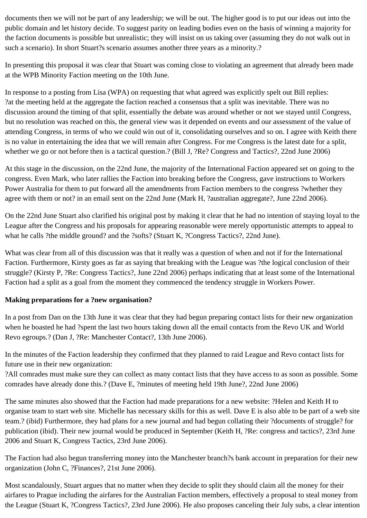documents then we will not be part of any leadership; we will be out. The higher good is to put our ideas out into the public domain and let history decide. To suggest parity on leading bodies even on the basis of winning a majority for the faction documents is possible but unrealistic; they will insist on us taking over (assuming they do not walk out in such a scenario). In short Stuart?s scenario assumes another three years as a minority.?

In presenting this proposal it was clear that Stuart was coming close to violating an agreement that already been made at the WPB Minority Faction meeting on the 10th June.

In response to a posting from Lisa (WPA) on requesting that what agreed was explicitly spelt out Bill replies: ?at the meeting held at the aggregate the faction reached a consensus that a split was inevitable. There was no discussion around the timing of that split, essentially the debate was around whether or not we stayed until Congress, but no resolution was reached on this, the general view was it depended on events and our assessment of the value of attending Congress, in terms of who we could win out of it, consolidating ourselves and so on. I agree with Keith there is no value in entertaining the idea that we will remain after Congress. For me Congress is the latest date for a split, whether we go or not before then is a tactical question.? (Bill J, ?Re? Congress and Tactics?, 22nd June 2006)

At this stage in the discussion, on the 22nd June, the majority of the International Faction appeared set on going to the congress. Even Mark, who later rallies the Faction into breaking before the Congress, gave instructions to Workers Power Australia for them to put forward all the amendments from Faction members to the congress ?whether they agree with them or not? in an email sent on the 22nd June (Mark H, ?australian aggregate?, June 22nd 2006).

On the 22nd June Stuart also clarified his original post by making it clear that he had no intention of staying loyal to the League after the Congress and his proposals for appearing reasonable were merely opportunistic attempts to appeal to what he calls ?the middle ground? and the ?softs? (Stuart K, ?Congress Tactics?, 22nd June).

What was clear from all of this discussion was that it really was a question of when and not if for the International Faction. Furthermore, Kirsty goes as far as saying that breaking with the League was ?the logical conclusion of their struggle? (Kirsty P, ?Re: Congress Tactics?, June 22nd 2006) perhaps indicating that at least some of the International Faction had a split as a goal from the moment they commenced the tendency struggle in Workers Power.

### **Making preparations for a ?new organisation?**

In a post from Dan on the 13th June it was clear that they had begun preparing contact lists for their new organization when he boasted he had ?spent the last two hours taking down all the email contacts from the Revo UK and World Revo egroups.? (Dan J, ?Re: Manchester Contact?, 13th June 2006).

In the minutes of the Faction leadership they confirmed that they planned to raid League and Revo contact lists for future use in their new organization:

?All comrades must make sure they can collect as many contact lists that they have access to as soon as possible. Some comrades have already done this.? (Dave E, ?minutes of meeting held 19th June?, 22nd June 2006)

The same minutes also showed that the Faction had made preparations for a new website: ?Helen and Keith H to organise team to start web site. Michelle has necessary skills for this as well. Dave E is also able to be part of a web site team.? (ibid) Furthermore, they had plans for a new journal and had begun collating their ?documents of struggle? for publication (ibid). Their new journal would be produced in September (Keith H, ?Re: congress and tactics?, 23rd June 2006 and Stuart K, Congress Tactics, 23rd June 2006).

The Faction had also begun transferring money into the Manchester branch?s bank account in preparation for their new organization (John C, ?Finances?, 21st June 2006).

Most scandalously, Stuart argues that no matter when they decide to split they should claim all the money for their airfares to Prague including the airfares for the Australian Faction members, effectively a proposal to steal money from the League (Stuart K, ?Congress Tactics?, 23rd June 2006). He also proposes canceling their July subs, a clear intention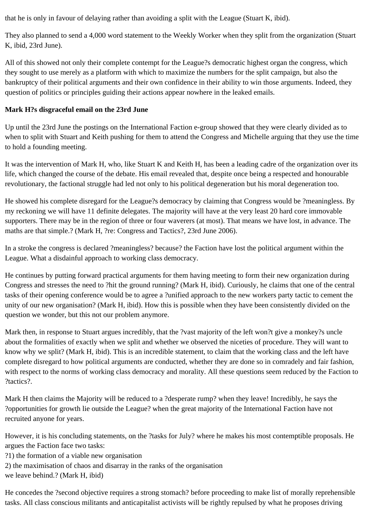that he is only in favour of delaying rather than avoiding a split with the League (Stuart K, ibid).

They also planned to send a 4,000 word statement to the Weekly Worker when they split from the organization (Stuart K, ibid, 23rd June).

All of this showed not only their complete contempt for the League?s democratic highest organ the congress, which they sought to use merely as a platform with which to maximize the numbers for the split campaign, but also the bankruptcy of their political arguments and their own confidence in their ability to win those arguments. Indeed, they question of politics or principles guiding their actions appear nowhere in the leaked emails.

## **Mark H?s disgraceful email on the 23rd June**

Up until the 23rd June the postings on the International Faction e-group showed that they were clearly divided as to when to split with Stuart and Keith pushing for them to attend the Congress and Michelle arguing that they use the time to hold a founding meeting.

It was the intervention of Mark H, who, like Stuart K and Keith H, has been a leading cadre of the organization over its life, which changed the course of the debate. His email revealed that, despite once being a respected and honourable revolutionary, the factional struggle had led not only to his political degeneration but his moral degeneration too.

He showed his complete disregard for the League?s democracy by claiming that Congress would be ?meaningless. By my reckoning we will have 11 definite delegates. The majority will have at the very least 20 hard core immovable supporters. There may be in the region of three or four waverers (at most). That means we have lost, in advance. The maths are that simple.? (Mark H, ?re: Congress and Tactics?, 23rd June 2006).

In a stroke the congress is declared ?meaningless? because? the Faction have lost the political argument within the League. What a disdainful approach to working class democracy.

He continues by putting forward practical arguments for them having meeting to form their new organization during Congress and stresses the need to ?hit the ground running? (Mark H, ibid). Curiously, he claims that one of the central tasks of their opening conference would be to agree a ?unified approach to the new workers party tactic to cement the unity of our new organisation? (Mark H, ibid). How this is possible when they have been consistently divided on the question we wonder, but this not our problem anymore.

Mark then, in response to Stuart argues incredibly, that the ?vast majority of the left won?t give a monkey?s uncle about the formalities of exactly when we split and whether we observed the niceties of procedure. They will want to know why we split? (Mark H, ibid). This is an incredible statement, to claim that the working class and the left have complete disregard to how political arguments are conducted, whether they are done so in comradely and fair fashion, with respect to the norms of working class democracy and morality. All these questions seem reduced by the Faction to ?tactics?.

Mark H then claims the Majority will be reduced to a ?desperate rump? when they leave! Incredibly, he says the ?opportunities for growth lie outside the League? when the great majority of the International Faction have not recruited anyone for years.

However, it is his concluding statements, on the ?tasks for July? where he makes his most contemptible proposals. He argues the Faction face two tasks:

?1) the formation of a viable new organisation

2) the maximisation of chaos and disarray in the ranks of the organisation

we leave behind.? (Mark H, ibid)

He concedes the ?second objective requires a strong stomach? before proceeding to make list of morally reprehensible tasks. All class conscious militants and anticapitalist activists will be rightly repulsed by what he proposes driving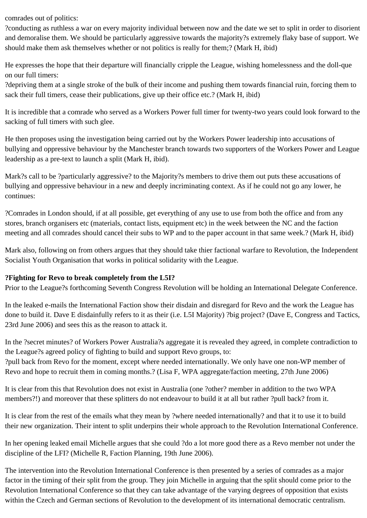comrades out of politics:

?conducting as ruthless a war on every majority individual between now and the date we set to split in order to disorient and demoralise them. We should be particularly aggressive towards the majority?s extremely flaky base of support. We should make them ask themselves whether or not politics is really for them;? (Mark H, ibid)

He expresses the hope that their departure will financially cripple the League, wishing homelessness and the doll-que on our full timers:

?depriving them at a single stroke of the bulk of their income and pushing them towards financial ruin, forcing them to sack their full timers, cease their publications, give up their office etc.? (Mark H, ibid)

It is incredible that a comrade who served as a Workers Power full timer for twenty-two years could look forward to the sacking of full timers with such glee.

He then proposes using the investigation being carried out by the Workers Power leadership into accusations of bullying and oppressive behaviour by the Manchester branch towards two supporters of the Workers Power and League leadership as a pre-text to launch a split (Mark H, ibid).

Mark?s call to be ?particularly aggressive? to the Majority?s members to drive them out puts these accusations of bullying and oppressive behaviour in a new and deeply incriminating context. As if he could not go any lower, he continues:

?Comrades in London should, if at all possible, get everything of any use to use from both the office and from any stores, branch organisers etc (materials, contact lists, equipment etc) in the week between the NC and the faction meeting and all comrades should cancel their subs to WP and to the paper account in that same week.? (Mark H, ibid)

Mark also, following on from others argues that they should take thier factional warfare to Revolution, the Independent Socialist Youth Organisation that works in political solidarity with the League.

### **?Fighting for Revo to break completely from the L5I?**

Prior to the League?s forthcoming Seventh Congress Revolution will be holding an International Delegate Conference.

In the leaked e-mails the International Faction show their disdain and disregard for Revo and the work the League has done to build it. Dave E disdainfully refers to it as their (i.e. L5I Majority) ?big project? (Dave E, Congress and Tactics, 23rd June 2006) and sees this as the reason to attack it.

In the ?secret minutes? of Workers Power Australia?s aggregate it is revealed they agreed, in complete contradiction to the League?s agreed policy of fighting to build and support Revo groups, to:

?pull back from Revo for the moment, except where needed internationally. We only have one non-WP member of Revo and hope to recruit them in coming months.? (Lisa F, WPA aggregate/faction meeting, 27th June 2006)

It is clear from this that Revolution does not exist in Australia (one ?other? member in addition to the two WPA members?!) and moreover that these splitters do not endeavour to build it at all but rather ?pull back? from it.

It is clear from the rest of the emails what they mean by ?where needed internationally? and that it to use it to build their new organization. Their intent to split underpins their whole approach to the Revolution International Conference.

In her opening leaked email Michelle argues that she could ?do a lot more good there as a Revo member not under the discipline of the LFI? (Michelle R, Faction Planning, 19th June 2006).

The intervention into the Revolution International Conference is then presented by a series of comrades as a major factor in the timing of their split from the group. They join Michelle in arguing that the split should come prior to the Revolution International Conference so that they can take advantage of the varying degrees of opposition that exists within the Czech and German sections of Revolution to the development of its international democratic centralism.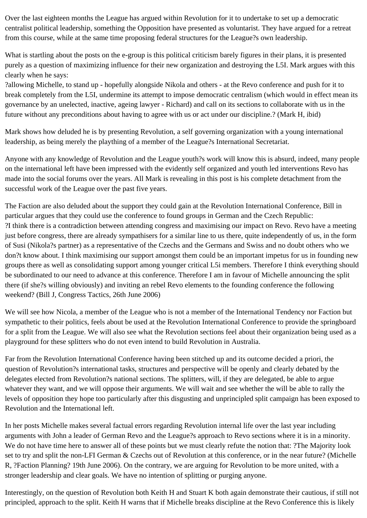Over the last eighteen months the League has argued within Revolution for it to undertake to set up a democratic centralist political leadership, something the Opposition have presented as voluntarist. They have argued for a retreat from this course, while at the same time proposing federal structures for the League?s own leadership.

What is startling about the posts on the e-group is this political criticism barely figures in their plans, it is presented purely as a question of maximizing influence for their new organization and destroying the L5I. Mark argues with this clearly when he says:

?allowing Michelle, to stand up - hopefully alongside Nikola and others - at the Revo conference and push for it to break completely from the L5I, undermine its attempt to impose democratic centralism (which would in effect mean its governance by an unelected, inactive, ageing lawyer - Richard) and call on its sections to collaborate with us in the future without any preconditions about having to agree with us or act under our discipline.? (Mark H, ibid)

Mark shows how deluded he is by presenting Revolution, a self governing organization with a young international leadership, as being merely the plaything of a member of the League?s International Secretariat.

Anyone with any knowledge of Revolution and the League youth?s work will know this is absurd, indeed, many people on the international left have been impressed with the evidently self organized and youth led interventions Revo has made into the social forums over the years. All Mark is revealing in this post is his complete detachment from the successful work of the League over the past five years.

The Faction are also deluded about the support they could gain at the Revolution International Conference, Bill in particular argues that they could use the conference to found groups in German and the Czech Republic: ?I think there is a contradiction between attending congress and maximising our impact on Revo. Revo have a meeting just before congress, there are already sympathisers for a similar line to us there, quite independently of us, in the form of Susi (Nikola?s partner) as a representative of the Czechs and the Germans and Swiss and no doubt others who we don?t know about. I think maximising our support amongst them could be an important impetus for us in founding new groups there as well as consolidating support among younger critical L5i members. Therefore I think everything should be subordinated to our need to advance at this conference. Therefore I am in favour of Michelle announcing the split there (if she?s willing obviously) and inviting an rebel Revo elements to the founding conference the following weekend? (Bill J, Congress Tactics, 26th June 2006)

We will see how Nicola, a member of the League who is not a member of the International Tendency nor Faction but sympathetic to their politics, feels about be used at the Revolution International Conference to provide the springboard for a split from the League. We will also see what the Revolution sections feel about their organization being used as a playground for these splitters who do not even intend to build Revolution in Australia.

Far from the Revolution International Conference having been stitched up and its outcome decided a priori, the question of Revolution?s international tasks, structures and perspective will be openly and clearly debated by the delegates elected from Revolution?s national sections. The splitters, will, if they are delegated, be able to argue whatever they want, and we will oppose their arguments. We will wait and see whether the will be able to rally the levels of opposition they hope too particularly after this disgusting and unprincipled split campaign has been exposed to Revolution and the International left.

In her posts Michelle makes several factual errors regarding Revolution internal life over the last year including arguments with John a leader of German Revo and the League?s approach to Revo sections where it is in a minority. We do not have time here to answer all of these points but we must clearly refute the notion that: ?The Majority look set to try and split the non-LFI German & Czechs out of Revolution at this conference, or in the near future? (Michelle R, ?Faction Planning? 19th June 2006). On the contrary, we are arguing for Revolution to be more united, with a stronger leadership and clear goals. We have no intention of splitting or purging anyone.

Interestingly, on the question of Revolution both Keith H and Stuart K both again demonstrate their cautious, if still not principled, approach to the split. Keith H warns that if Michelle breaks discipline at the Revo Conference this is likely